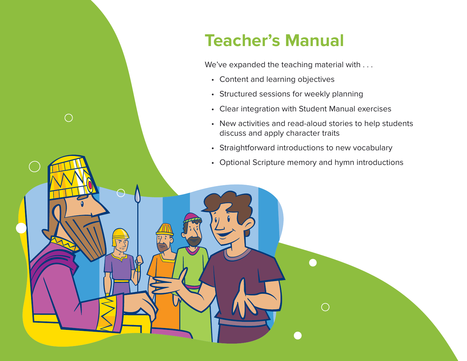# **Teacher's Manual**

We've expanded the teaching material with . . .

• Content and learning objectives

 $\bigcirc$ 

- Structured sessions for weekly planning
- Clear integration with Student Manual exercises
- New activities and read-aloud stories to help students discuss and apply character traits
- Straightforward introductions to new vocabulary
- Optional Scripture memory and hymn introductions

 $\bigcap$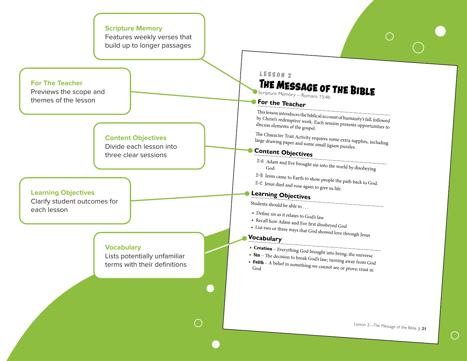